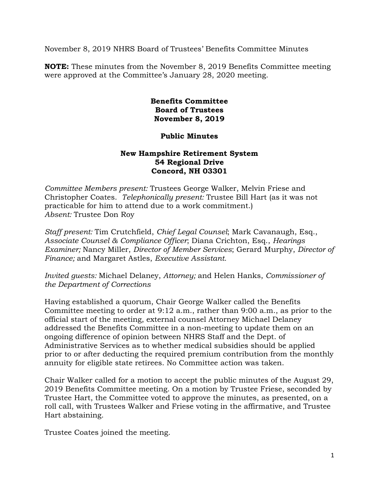November 8, 2019 NHRS Board of Trustees' Benefits Committee Minutes

**NOTE:** These minutes from the November 8, 2019 Benefits Committee meeting were approved at the Committee's January 28, 2020 meeting.

## **Benefits Committee Board of Trustees November 8, 2019**

## **Public Minutes**

## **New Hampshire Retirement System 54 Regional Drive Concord, NH 03301**

*Committee Members present:* Trustees George Walker, Melvin Friese and Christopher Coates. *Telephonically present:* Trustee Bill Hart (as it was not practicable for him to attend due to a work commitment.) *Absent:* Trustee Don Roy

*Staff present:* Tim Crutchfield, *Chief Legal Counsel*; Mark Cavanaugh, Esq., *Associate Counsel & Compliance Officer*; Diana Crichton, Esq., *Hearings Examiner;* Nancy Miller, *Director of Member Services*; Gerard Murphy, *Director of Finance;* and Margaret Astles, *Executive Assistant.* 

*Invited guests:* Michael Delaney, *Attorney;* and Helen Hanks, *Commissioner of the Department of Corrections* 

Having established a quorum, Chair George Walker called the Benefits Committee meeting to order at 9:12 a.m., rather than 9:00 a.m., as prior to the official start of the meeting, external counsel Attorney Michael Delaney addressed the Benefits Committee in a non-meeting to update them on an ongoing difference of opinion between NHRS Staff and the Dept. of Administrative Services as to whether medical subsidies should be applied prior to or after deducting the required premium contribution from the monthly annuity for eligible state retirees. No Committee action was taken.

Chair Walker called for a motion to accept the public minutes of the August 29, 2019 Benefits Committee meeting. On a motion by Trustee Friese, seconded by Trustee Hart, the Committee voted to approve the minutes, as presented, on a roll call, with Trustees Walker and Friese voting in the affirmative, and Trustee Hart abstaining.

Trustee Coates joined the meeting.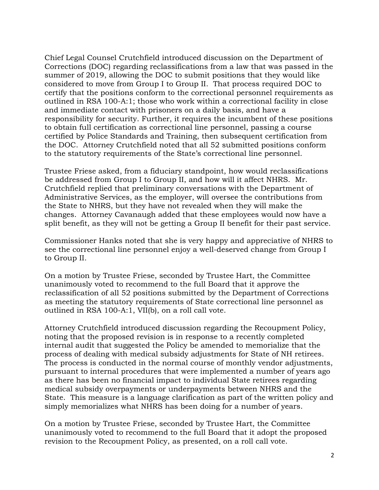Chief Legal Counsel Crutchfield introduced discussion on the Department of Corrections (DOC) regarding reclassifications from a law that was passed in the summer of 2019, allowing the DOC to submit positions that they would like considered to move from Group I to Group II. That process required DOC to certify that the positions conform to the correctional personnel requirements as outlined in RSA 100-A:1; those who work within a correctional facility in close and immediate contact with prisoners on a daily basis, and have a responsibility for security. Further, it requires the incumbent of these positions to obtain full certification as correctional line personnel, passing a course certified by Police Standards and Training, then subsequent certification from the DOC. Attorney Crutchfield noted that all 52 submitted positions conform to the statutory requirements of the State's correctional line personnel.

Trustee Friese asked, from a fiduciary standpoint, how would reclassifications be addressed from Group I to Group II, and how will it affect NHRS. Mr. Crutchfield replied that preliminary conversations with the Department of Administrative Services, as the employer, will oversee the contributions from the State to NHRS, but they have not revealed when they will make the changes. Attorney Cavanaugh added that these employees would now have a split benefit, as they will not be getting a Group II benefit for their past service.

Commissioner Hanks noted that she is very happy and appreciative of NHRS to see the correctional line personnel enjoy a well-deserved change from Group I to Group II.

On a motion by Trustee Friese, seconded by Trustee Hart, the Committee unanimously voted to recommend to the full Board that it approve the reclassification of all 52 positions submitted by the Department of Corrections as meeting the statutory requirements of State correctional line personnel as outlined in RSA 100-A:1, VII(b), on a roll call vote.

Attorney Crutchfield introduced discussion regarding the Recoupment Policy, noting that the proposed revision is in response to a recently completed internal audit that suggested the Policy be amended to memorialize that the process of dealing with medical subsidy adjustments for State of NH retirees. The process is conducted in the normal course of monthly vendor adjustments, pursuant to internal procedures that were implemented a number of years ago as there has been no financial impact to individual State retirees regarding medical subsidy overpayments or underpayments between NHRS and the State. This measure is a language clarification as part of the written policy and simply memorializes what NHRS has been doing for a number of years.

On a motion by Trustee Friese, seconded by Trustee Hart, the Committee unanimously voted to recommend to the full Board that it adopt the proposed revision to the Recoupment Policy, as presented, on a roll call vote.